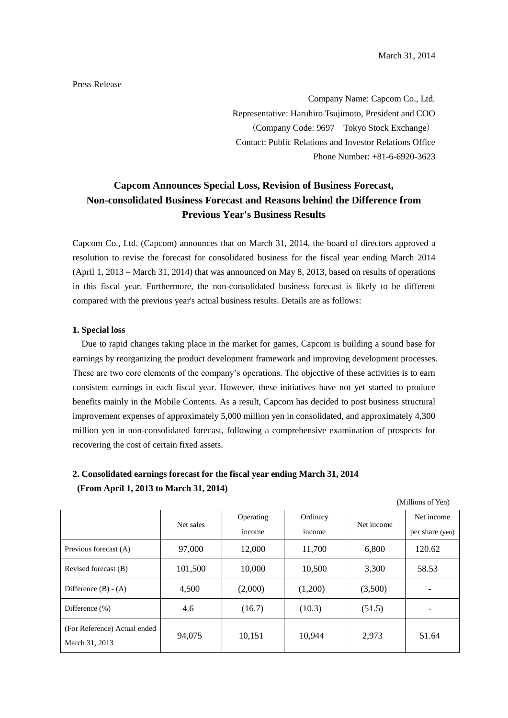### Press Release

Company Name: Capcom Co., Ltd. Representative: Haruhiro Tsujimoto, President and COO (Company Code: 9697 Tokyo Stock Exchange) Contact: Public Relations and Investor Relations Office Phone Number: +81-6-6920-3623

# **Capcom Announces Special Loss, Revision of Business Forecast, Non-consolidated Business Forecast and Reasons behind the Difference from Previous Year's Business Results**

Capcom Co., Ltd. (Capcom) announces that on March 31, 2014, the board of directors approved a resolution to revise the forecast for consolidated business for the fiscal year ending March 2014 (April 1, 2013 – March 31, 2014) that was announced on May 8, 2013, based on results of operations in this fiscal year. Furthermore, the non-consolidated business forecast is likely to be different compared with the previous year's actual business results. Details are as follows:

#### **1. Special loss**

Due to rapid changes taking place in the market for games, Capcom is building a sound base for earnings by reorganizing the product development framework and improving development processes. These are two core elements of the company's operations. The objective of these activities is to earn consistent earnings in each fiscal year. However, these initiatives have not yet started to produce benefits mainly in the Mobile Contents. As a result, Capcom has decided to post business structural improvement expenses of approximately 5,000 million yen in consolidated, and approximately 4,300 million yen in non-consolidated forecast, following a comprehensive examination of prospects for recovering the cost of certain fixed assets.

### **2. Consolidated earnings forecast for the fiscal year ending March 31, 2014 (From April 1, 2013 to March 31, 2014)**

(Millions of Yen)

|                                                | (1.11111011001111110111) |           |          |            |                 |  |
|------------------------------------------------|--------------------------|-----------|----------|------------|-----------------|--|
|                                                | Net sales                | Operating | Ordinary | Net income | Net income      |  |
|                                                |                          | income    | income   |            | per share (yen) |  |
| Previous forecast (A)                          | 97,000                   | 12,000    | 11,700   | 6,800      | 120.62          |  |
| Revised forecast (B)                           | 101,500                  | 10,000    | 10,500   | 3,300      | 58.53           |  |
| Difference $(B) - (A)$                         | 4,500                    | (2,000)   | (1,200)  | (3,500)    |                 |  |
| Difference (%)                                 | 4.6                      | (16.7)    | (10.3)   | (51.5)     |                 |  |
| (For Reference) Actual ended<br>March 31, 2013 | 94,075                   | 10,151    | 10,944   | 2,973      | 51.64           |  |